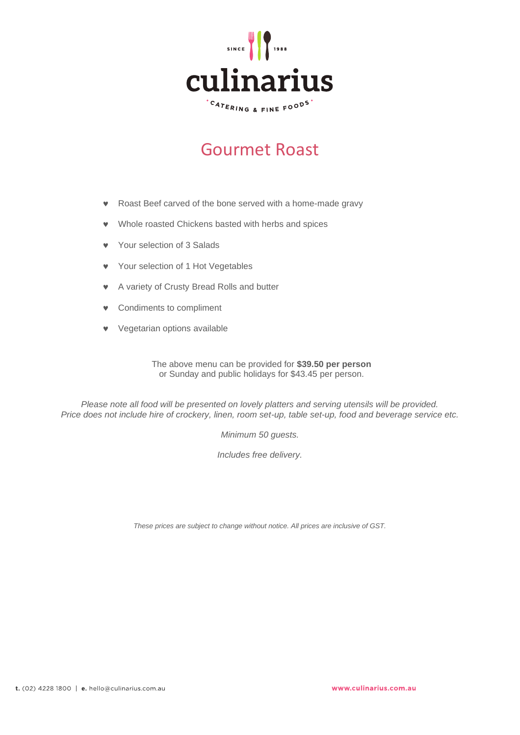

# Gourmet Roast

- Roast Beef carved of the bone served with a home-made gravy
- Whole roasted Chickens basted with herbs and spices
- Your selection of 3 Salads
- Your selection of 1 Hot Vegetables
- A variety of Crusty Bread Rolls and butter
- Condiments to compliment
- Vegetarian options available

The above menu can be provided for **\$39.50 per person** or Sunday and public holidays for \$43.45 per person.

*Please note all food will be presented on lovely platters and serving utensils will be provided. Price does not include hire of crockery, linen, room set-up, table set-up, food and beverage service etc.*

*Minimum 50 guests.*

*Includes free delivery.*

*These prices are subject to change without notice. All prices are inclusive of GST.*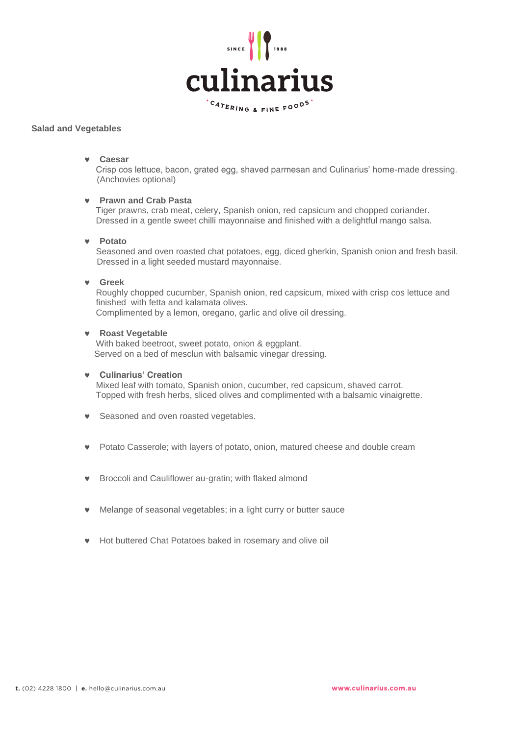

# **Salad and Vegetables**

# **Caesar**

 Crisp cos lettuce, bacon, grated egg, shaved parmesan and Culinarius' home-made dressing. (Anchovies optional)

# **Prawn and Crab Pasta**

 Tiger prawns, crab meat, celery, Spanish onion, red capsicum and chopped coriander. Dressed in a gentle sweet chilli mayonnaise and finished with a delightful mango salsa.

#### **Potato**

 Seasoned and oven roasted chat potatoes, egg, diced gherkin, Spanish onion and fresh basil. Dressed in a light seeded mustard mayonnaise.

# **Greek**

 Roughly chopped cucumber, Spanish onion, red capsicum, mixed with crisp cos lettuce and finished with fetta and kalamata olives. Complimented by a lemon, oregano, garlic and olive oil dressing.

# **Roast Vegetable**

 With baked beetroot, sweet potato, onion & eggplant. Served on a bed of mesclun with balsamic vinegar dressing.

#### **Culinarius' Creation**

 Mixed leaf with tomato, Spanish onion, cucumber, red capsicum, shaved carrot. Topped with fresh herbs, sliced olives and complimented with a balsamic vinaigrette.

- **v** Seasoned and oven roasted vegetables.
- Potato Casserole; with layers of potato, onion, matured cheese and double cream
- Broccoli and Cauliflower au-gratin; with flaked almond
- Melange of seasonal vegetables; in a light curry or butter sauce
- Hot buttered Chat Potatoes baked in rosemary and olive oil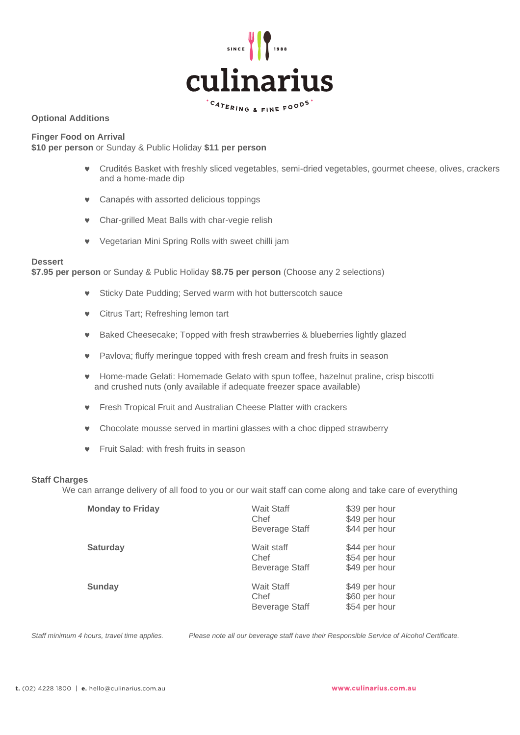

# **Optional Additions**

**Finger Food on Arrival** 

**\$10 per person** or Sunday & Public Holiday **\$11 per person**

- Crudités Basket with freshly sliced vegetables, semi-dried vegetables, gourmet cheese, olives, crackers and a home-made dip
- Canapés with assorted delicious toppings
- Char-grilled Meat Balls with char-vegie relish
- Vegetarian Mini Spring Rolls with sweet chilli jam

# **Dessert**

**\$7.95 per person** or Sunday & Public Holiday **\$8.75 per person** (Choose any 2 selections)

- Sticky Date Pudding; Served warm with hot butterscotch sauce
- **v** Citrus Tart; Refreshing lemon tart
- Baked Cheesecake; Topped with fresh strawberries & blueberries lightly glazed
- Pavlova; fluffy meringue topped with fresh cream and fresh fruits in season
- Home-made Gelati: Homemade Gelato with spun toffee, hazelnut praline, crisp biscotti and crushed nuts (only available if adequate freezer space available)
- Fresh Tropical Fruit and Australian Cheese Platter with crackers
- Chocolate mousse served in martini glasses with a choc dipped strawberry
- **•** Fruit Salad: with fresh fruits in season

#### **Staff Charges**

We can arrange delivery of all food to you or our wait staff can come along and take care of everything

| <b>Monday to Friday</b> | <b>Wait Staff</b><br>Chef<br><b>Beverage Staff</b> | \$39 per hour<br>\$49 per hour<br>\$44 per hour |
|-------------------------|----------------------------------------------------|-------------------------------------------------|
| <b>Saturday</b>         | Wait staff<br>Chef<br><b>Beverage Staff</b>        | \$44 per hour<br>\$54 per hour<br>\$49 per hour |
| Sunday                  | <b>Wait Staff</b><br>Chef<br><b>Beverage Staff</b> | \$49 per hour<br>\$60 per hour<br>\$54 per hour |

*Staff minimum 4 hours, travel time applies. Please note all our beverage staff have their Responsible Service of Alcohol Certificate.*